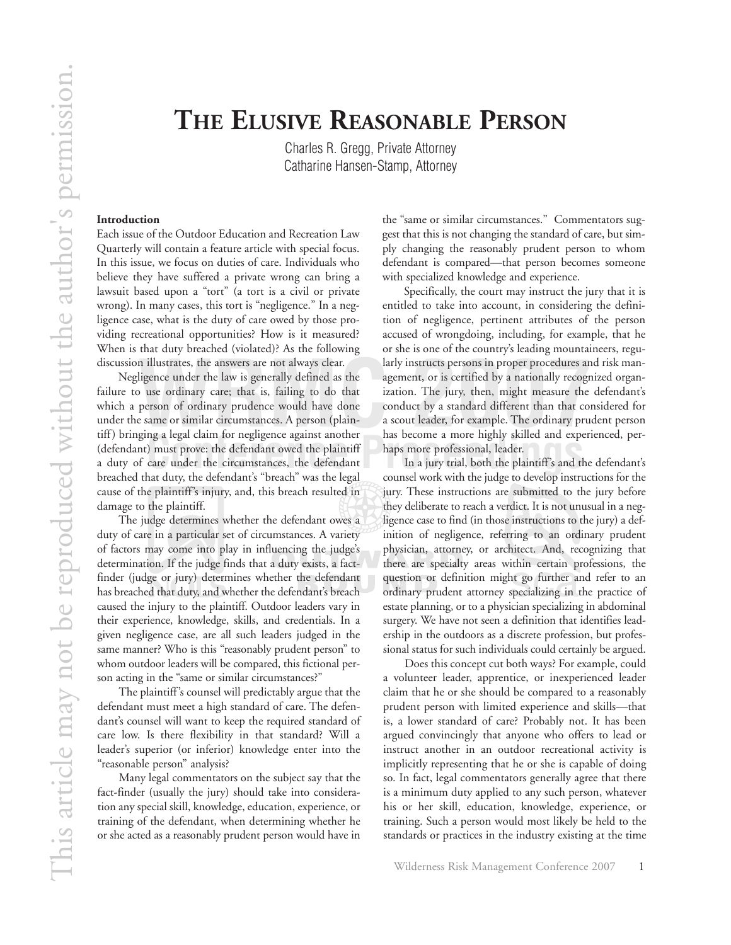Charles R. Gregg, Private Attorney Catharine Hansen-Stamp, Attorney

## **Introduction**

Each issue of the Outdoor Education and Recreation Law Quarterly will contain a feature article with special focus. In this issue, we focus on duties of care. Individuals who believe they have suffered a private wrong can bring a lawsuit based upon a "tort" (a tort is a civil or private wrong). In many cases, this tort is "negligence." In a negligence case, what is the duty of care owed by those providing recreational opportunities? How is it measured? When is that duty breached (violated)? As the following discussion illustrates, the answers are not always clear.

In a jury trial, both the plaintiff's and the defendant's<br>
Care under the circumstances, the defendant<br>
In a jury trial, both the plaintiff's and the defendant's<br>
And the defendant's and the defendant's<br>
And the defendant' Negligence under the law is generally defined as the failure to use ordinary care; that is, failing to do that which a person of ordinary prudence would have done under the same or similar circumstances. A person (plaintiff) bringing a legal claim for negligence against another (defendant) must prove: the defendant owed the plaintiff a duty of care under the circumstances, the defendant breached that duty, the defendant's "breach" was the legal cause of the plaintiff's injury, and, this breach resulted in damage to the plaintiff.

The judge determines whether the defendant owes a duty of care in a particular set of circumstances. A variety of factors may come into play in influencing the judge's determination. If the judge finds that a duty exists, a factfinder (judge or jury) determines whether the defendant has breached that duty, and whether the defendant's breach caused the injury to the plaintiff. Outdoor leaders vary in their experience, knowledge, skills, and credentials. In a given negligence case, are all such leaders judged in the same manner? Who is this "reasonably prudent person" to whom outdoor leaders will be compared, this fictional person acting in the "same or similar circumstances?"

The plaintiff's counsel will predictably argue that the defendant must meet a high standard of care. The defendant's counsel will want to keep the required standard of care low. Is there flexibility in that standard? Will a leader's superior (or inferior) knowledge enter into the "reasonable person" analysis?

Many legal commentators on the subject say that the fact-finder (usually the jury) should take into consideration any special skill, knowledge, education, experience, or training of the defendant, when determining whether he or she acted as a reasonably prudent person would have in the "same or similar circumstances." Commentators suggest that this is not changing the standard of care, but simply changing the reasonably prudent person to whom defendant is compared—that person becomes someone with specialized knowledge and experience.

In illustrates, the answers are not always clear. Iarly instructs persons in proper procedures an aligence under the law is generally defined as the agement, or is certified by a nationally recogn<br>Due ordinary care; that i Specifically, the court may instruct the jury that it is entitled to take into account, in considering the definition of negligence, pertinent attributes of the person accused of wrongdoing, including, for example, that he or she is one of the country's leading mountaineers, regularly instructs persons in proper procedures and risk management, or is certified by a nationally recognized organization. The jury, then, might measure the defendant's conduct by a standard different than that considered for a scout leader, for example. The ordinary prudent person has become a more highly skilled and experienced, perhaps more professional, leader.

> counsel work with the judge to develop instructions for the jury. These instructions are submitted to the jury before they deliberate to reach a verdict. It is not unusual in a negligence case to find (in those instructions to the jury) a definition of negligence, referring to an ordinary prudent physician, attorney, or architect. And, recognizing that there are specialty areas within certain professions, the question or definition might go further and refer to an ordinary prudent attorney specializing in the practice of estate planning, or to a physician specializing in abdominal surgery. We have not seen a definition that identifies leadership in the outdoors as a discrete profession, but professional status for such individuals could certainly be argued.

> Does this concept cut both ways? For example, could a volunteer leader, apprentice, or inexperienced leader claim that he or she should be compared to a reasonably prudent person with limited experience and skills—that is, a lower standard of care? Probably not. It has been argued convincingly that anyone who offers to lead or instruct another in an outdoor recreational activity is implicitly representing that he or she is capable of doing so. In fact, legal commentators generally agree that there is a minimum duty applied to any such person, whatever his or her skill, education, knowledge, experience, or training. Such a person would most likely be held to the standards or practices in the industry existing at the time